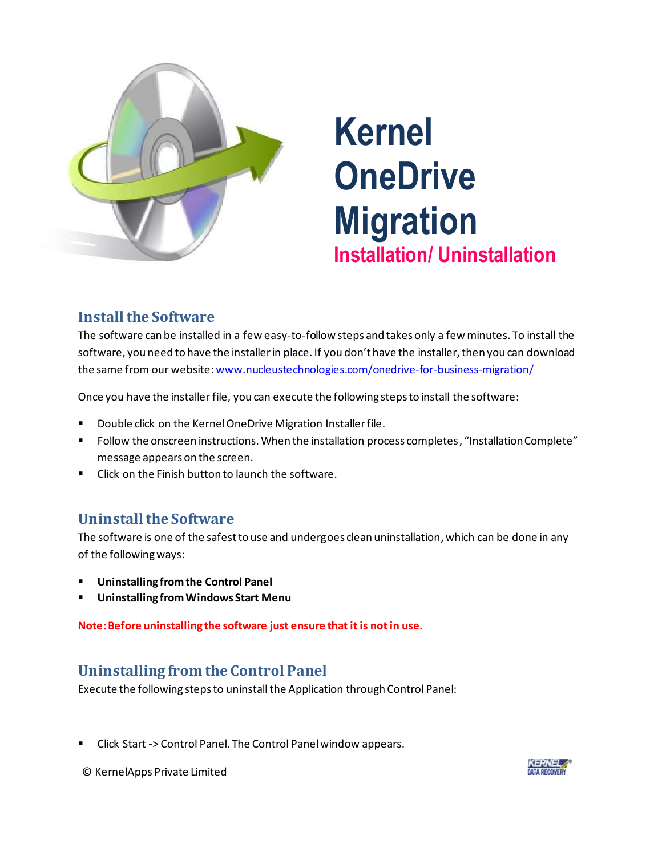

# **Kernel OneDrive Migration Installation/ Uninstallation**

## **Install the Software**

The software can be installed in a few easy-to-follow steps and takes only a few minutes. To install the software, you need to have the installer in place. If you don't have the installer, then you can download the same from our website[: www.nucleustechnologies.com/onedrive-for-business-migration/](http://www.nucleustechnologies.com/onedrive-for-business-migration/)

Once you have the installer file, you can execute the following steps to install the software:

- **Double click on the Kernel OneDrive Migration Installer file.**
- Follow the onscreen instructions. When the installation process completes, "InstallationComplete" message appears on the screen.
- Click on the Finish button to launch the software.

#### **Uninstall the Software**

The software is one of the safest to use and undergoes clean uninstallation, which can be done in any of the following ways:

- **Uninstalling from the Control Panel**
- **Uninstalling from Windows Start Menu**

**Note: Before uninstalling the software just ensure that it is not in use.**

## **Uninstalling from the Control Panel**

Execute the following steps to uninstall the Application through Control Panel:

Click Start -> Control Panel. The Control Panel window appears.

© KernelApps Private Limited